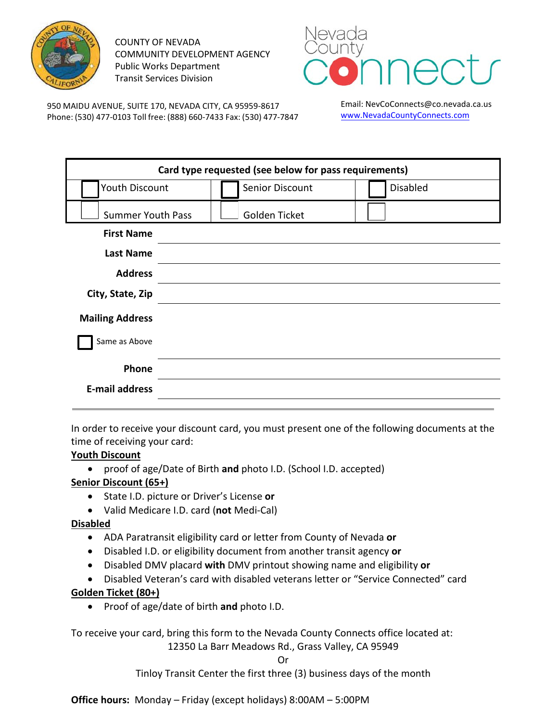

COUNTY OF NEVADA COMMUNITY DEVELOPMENT AGENCY Public Works Department Transit Services Division



950 MAIDU AVENUE, SUITE 170, NEVADA CITY, CA 95959-8617 Phone: (530) 477-0103 Toll free: (888) 660-7433 Fax: (530) 477-7847 Email: [N](mailto:NevadaCountyConnects@co.nevada.ca.us)[evCoConnects@co.nevada.ca.us](mailto:evadaCountyConnects@co.nevada.ca.us)  [www.NevadaCountyConnects.com](http://www.nevadacountyconnects.com/)

| Card type requested (see below for pass requirements) |                 |                 |
|-------------------------------------------------------|-----------------|-----------------|
| Youth Discount                                        | Senior Discount | <b>Disabled</b> |
| <b>Summer Youth Pass</b>                              | Golden Ticket   |                 |
| <b>First Name</b>                                     |                 |                 |
| <b>Last Name</b>                                      |                 |                 |
| <b>Address</b>                                        |                 |                 |
| City, State, Zip                                      |                 |                 |
| <b>Mailing Address</b>                                |                 |                 |
| Same as Above                                         |                 |                 |
| Phone                                                 |                 |                 |
| <b>E-mail address</b>                                 |                 |                 |

In order to receive your discount card, you must present one of the following documents at the time of receiving your card:

## **Youth Discount**

• proof of age/Date of Birth **and** photo I.D. (School I.D. accepted)

# **Senior Discount (65+)**

- State I.D. picture or Driver's License **or**
- Valid Medicare I.D. card (**not** Medi-Cal)

## **Disabled**

- ADA Paratransit eligibility card or letter from County of Nevada **or**
- Disabled I.D. or eligibility document from another transit agency **or**
- Disabled DMV placard **with** DMV printout showing name and eligibility **or**
- Disabled Veteran's card with disabled veterans letter or "Service Connected" card

# **Golden Ticket (80+)**

• Proof of age/date of birth **and** photo I.D.

To receive your card, bring this form to the Nevada County Connects office located at: 12350 La Barr Meadows Rd., Grass Valley, CA 95949

## Or

Tinloy Transit Center the first three (3) business days of the month

**Office hours:** Monday – Friday (except holidays) 8:00AM – 5:00PM